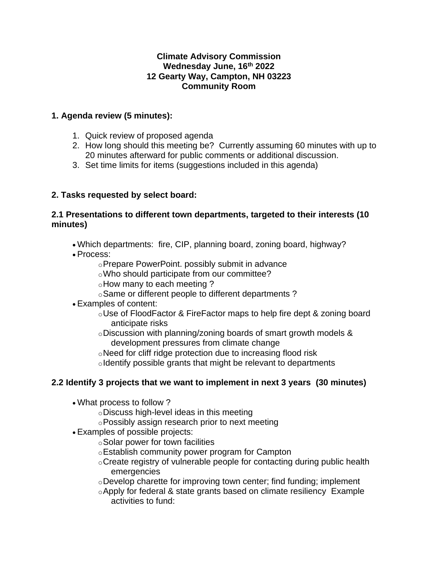#### **Climate Advisory Commission Wednesday June, 16th 2022 12 Gearty Way, Campton, NH 03223 Community Room**

#### **1. Agenda review (5 minutes):**

- 1. Quick review of proposed agenda
- 2. How long should this meeting be? Currently assuming 60 minutes with up to 20 minutes afterward for public comments or additional discussion.
- 3. Set time limits for items (suggestions included in this agenda)

# **2. Tasks requested by select board:**

#### **2.1 Presentations to different town departments, targeted to their interests (10 minutes)**

- Which departments: fire, CIP, planning board, zoning board, highway?
- Process:
	- oPrepare PowerPoint. possibly submit in advance
	- oWho should participate from our committee?
	- oHow many to each meeting ?
	- oSame or different people to different departments ?
- Examples of content:
	- $\circ$ Use of FloodFactor & FireFactor maps to help fire dept & zoning board anticipate risks
	- oDiscussion with planning/zoning boards of smart growth models & development pressures from climate change
	- oNeed for cliff ridge protection due to increasing flood risk
	- oIdentify possible grants that might be relevant to departments

# **2.2 Identify 3 projects that we want to implement in next 3 years (30 minutes)**

- What process to follow ?
	- oDiscuss high-level ideas in this meeting
	- oPossibly assign research prior to next meeting
- Examples of possible projects:
	- oSolar power for town facilities
	- oEstablish community power program for Campton
	- oCreate registry of vulnerable people for contacting during public health emergencies
	- oDevelop charette for improving town center; find funding; implement
	- oApply for federal & state grants based on climate resiliency Example activities to fund: